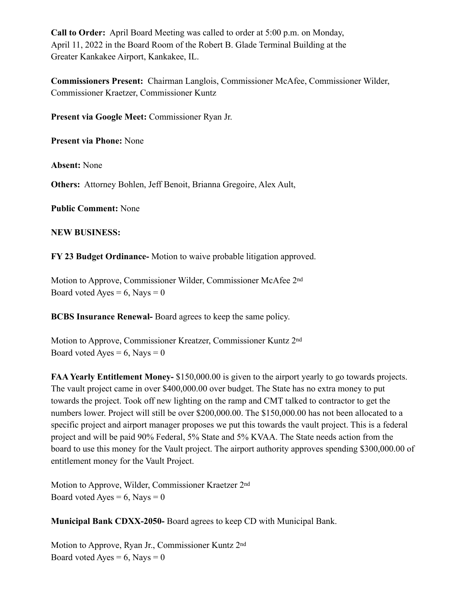**Call to Order:** April Board Meeting was called to order at 5:00 p.m. on Monday, April 11, 2022 in the Board Room of the Robert B. Glade Terminal Building at the Greater Kankakee Airport, Kankakee, IL.

**Commissioners Present:** Chairman Langlois, Commissioner McAfee, Commissioner Wilder, Commissioner Kraetzer, Commissioner Kuntz

**Present via Google Meet:** Commissioner Ryan Jr.

**Present via Phone:** None

**Absent:** None

**Others:** Attorney Bohlen, Jeff Benoit, Brianna Gregoire, Alex Ault,

**Public Comment:** None

#### **NEW BUSINESS:**

**FY 23 Budget Ordinance-** Motion to waive probable litigation approved.

Motion to Approve, Commissioner Wilder, Commissioner McAfee 2nd Board voted Ayes =  $6$ , Nays = 0

**BCBS Insurance Renewal-** Board agrees to keep the same policy.

Motion to Approve, Commissioner Kreatzer, Commissioner Kuntz 2nd Board voted Ayes =  $6$ , Nays = 0

**FAA Yearly Entitlement Money-** \$150,000.00 is given to the airport yearly to go towards projects. The vault project came in over \$400,000.00 over budget. The State has no extra money to put towards the project. Took off new lighting on the ramp and CMT talked to contractor to get the numbers lower. Project will still be over \$200,000.00. The \$150,000.00 has not been allocated to a specific project and airport manager proposes we put this towards the vault project. This is a federal project and will be paid 90% Federal, 5% State and 5% KVAA. The State needs action from the board to use this money for the Vault project. The airport authority approves spending \$300,000.00 of entitlement money for the Vault Project.

Motion to Approve, Wilder, Commissioner Kraetzer 2nd Board voted Ayes =  $6$ , Nays = 0

**Municipal Bank CDXX-2050-** Board agrees to keep CD with Municipal Bank.

Motion to Approve, Ryan Jr., Commissioner Kuntz 2nd Board voted Ayes =  $6$ , Nays = 0